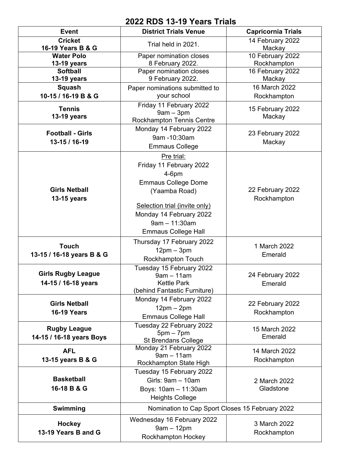## **2022 RDS 13-19 Years Trials**

| <b>Event</b>                   | <b>District Trials Venue</b>                    | <b>Capricornia Trials</b>       |
|--------------------------------|-------------------------------------------------|---------------------------------|
| <b>Cricket</b>                 | Trial held in 2021.                             | 14 February 2022                |
| 16-19 Years B & G              |                                                 | Mackay                          |
| <b>Water Polo</b>              | Paper nomination closes                         | 10 February 2022                |
| 13-19 years<br><b>Softball</b> | 8 February 2022.<br>Paper nomination closes     | Rockhampton<br>16 February 2022 |
| 13-19 years                    | 9 February 2022.                                | Mackay                          |
| Squash                         | Paper nominations submitted to                  | 16 March 2022                   |
| 10-15 / 16-19 B & G            | your school                                     | Rockhampton                     |
|                                | Friday 11 February 2022                         |                                 |
| <b>Tennis</b>                  | $9am - 3pm$                                     | 15 February 2022                |
| 13-19 years                    | <b>Rockhampton Tennis Centre</b>                | Mackay                          |
| <b>Football - Girls</b>        | Monday 14 February 2022                         |                                 |
|                                | 9am -10:30am                                    | 23 February 2022                |
| 13-15 / 16-19                  | <b>Emmaus College</b>                           | Mackay                          |
|                                | Pre trial:                                      |                                 |
|                                | Friday 11 February 2022                         |                                 |
|                                | $4-6$ pm                                        |                                 |
|                                | <b>Emmaus College Dome</b>                      |                                 |
| <b>Girls Netball</b>           | (Yaamba Road)                                   | 22 February 2022                |
| 13-15 years                    |                                                 | Rockhampton                     |
|                                | Selection trial (invite only)                   |                                 |
|                                | Monday 14 February 2022                         |                                 |
|                                | $9am - 11:30am$                                 |                                 |
|                                | <b>Emmaus College Hall</b>                      |                                 |
| <b>Touch</b>                   | Thursday 17 February 2022                       | 1 March 2022                    |
| 13-15 / 16-18 years B & G      | $12pm - 3pm$                                    | Emerald                         |
|                                | Rockhampton Touch                               |                                 |
|                                | Tuesday 15 February 2022                        |                                 |
| <b>Girls Rugby League</b>      | $9am - 11am$                                    | 24 February 2022                |
| 14-15 / 16-18 years            | Kettle Park<br>(behind Fantastic Furniture)     | Emerald                         |
|                                | Monday 14 February 2022                         |                                 |
| <b>Girls Netball</b>           | $12pm - 2pm$                                    | 22 February 2022                |
| <b>16-19 Years</b>             | <b>Emmaus College Hall</b>                      | Rockhampton                     |
|                                | Tuesday 22 February 2022                        |                                 |
| <b>Rugby League</b>            | $5pm - 7pm$                                     | 15 March 2022                   |
| 14-15 / 16-18 years Boys       | <b>St Brendans College</b>                      | Emerald                         |
| <b>AFL</b>                     | Monday 21 February 2022                         | 14 March 2022                   |
| 13-15 years B & G              | $9am - 11am$                                    | Rockhampton                     |
|                                | Rockhampton State High                          |                                 |
| <b>Basketball</b>              | Tuesday 15 February 2022                        |                                 |
| 16-18 B & G                    | Girls: 9am - 10am                               | 2 March 2022<br>Gladstone       |
|                                | Boys: 10am - 11:30am                            |                                 |
|                                | <b>Heights College</b>                          |                                 |
| Swimming                       | Nomination to Cap Sport Closes 15 February 2022 |                                 |
| <b>Hockey</b>                  | Wednesday 16 February 2022                      | 3 March 2022                    |
| 13-19 Years B and G            | $9am - 12pm$                                    | Rockhampton                     |
|                                | Rockhampton Hockey                              |                                 |